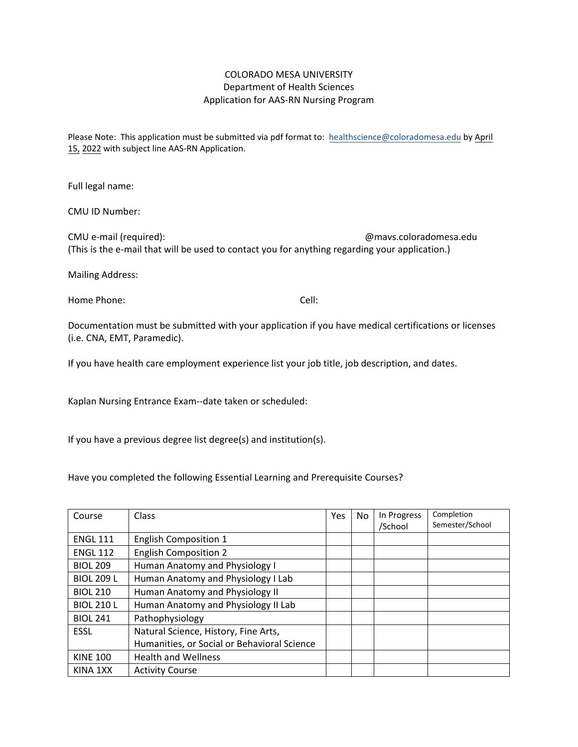## COLORADO MESA UNIVERSITY Department of Health Sciences Application for AAS‐RN Nursing Program

Please Note: This application must be submitted via pdf format to: healthscience@coloradomesa.edu by April 15, 2022 with subject line AAS‐RN Application.

Full legal name:

CMU ID Number:

CMU e‐mail (required): @mavs.coloradomesa.edu (This is the e‐mail that will be used to contact you for anything regarding your application.)

Mailing Address:

Home Phone: Cell: Cell: Cell: Cell: Cell: Cell: Cell: Cell: Cell: Cell: Cell: Cell: Cell: Cell: Cell: Cell: Cell: Cell: Cell: Cell: Cell: Cell: Cell: Cell: Cell: Cell: Cell: Cell: Cell: Cell: Cell: Cell: Cell: Cell: Cell:

Documentation must be submitted with your application if you have medical certifications or licenses (i.e. CNA, EMT, Paramedic).

If you have health care employment experience list your job title, job description, and dates.

Kaplan Nursing Entrance Exam‐‐date taken or scheduled:

If you have a previous degree list degree(s) and institution(s).

Have you completed the following Essential Learning and Prerequisite Courses?

| Course            | <b>Class</b>                                | Yes | No. | In Progress<br>/School | Completion<br>Semester/School |
|-------------------|---------------------------------------------|-----|-----|------------------------|-------------------------------|
| <b>ENGL 111</b>   | <b>English Composition 1</b>                |     |     |                        |                               |
| <b>ENGL 112</b>   | <b>English Composition 2</b>                |     |     |                        |                               |
| <b>BIOL 209</b>   | Human Anatomy and Physiology I              |     |     |                        |                               |
| <b>BIOL 209 L</b> | Human Anatomy and Physiology I Lab          |     |     |                        |                               |
| <b>BIOL 210</b>   | Human Anatomy and Physiology II             |     |     |                        |                               |
| <b>BIOL 210 L</b> | Human Anatomy and Physiology II Lab         |     |     |                        |                               |
| <b>BIOL 241</b>   | Pathophysiology                             |     |     |                        |                               |
| <b>ESSL</b>       | Natural Science, History, Fine Arts,        |     |     |                        |                               |
|                   | Humanities, or Social or Behavioral Science |     |     |                        |                               |
| <b>KINE 100</b>   | <b>Health and Wellness</b>                  |     |     |                        |                               |
| KINA 1XX          | <b>Activity Course</b>                      |     |     |                        |                               |